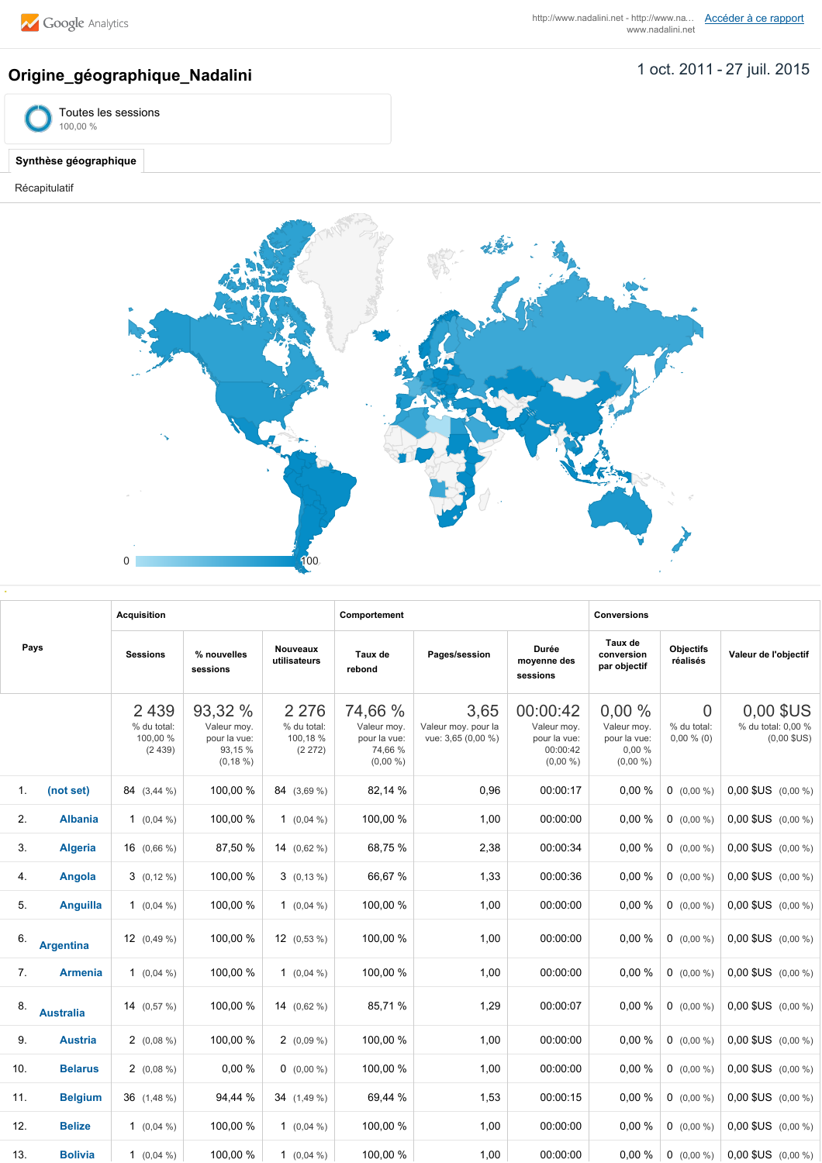## 1 oct. 2011 27 juil. 2015 **Origine\_géographique\_Nadalini**





## **Synthèse géographique**

Récapitulatif



| Pays           |                  | <b>Acquisition</b>                           |                                                                  |                                              | Comportement                                                     |                                                   |                                                                   | <b>Conversions</b>                                           |                                               |                                                  |  |
|----------------|------------------|----------------------------------------------|------------------------------------------------------------------|----------------------------------------------|------------------------------------------------------------------|---------------------------------------------------|-------------------------------------------------------------------|--------------------------------------------------------------|-----------------------------------------------|--------------------------------------------------|--|
|                |                  | <b>Sessions</b>                              | % nouvelles<br>sessions                                          | Nouveaux<br>utilisateurs                     | Taux de<br>rebond                                                | Pages/session                                     | Durée<br>moyenne des<br>sessions                                  | Taux de<br>conversion<br>par objectif                        | <b>Objectifs</b><br>réalisés                  | Valeur de l'objectif                             |  |
|                |                  | 2 4 3 9<br>% du total:<br>100,00 %<br>(2439) | 93,32 %<br>Valeur moy.<br>pour la vue:<br>93,15 %<br>$(0, 18\%)$ | 2 2 7 6<br>% du total:<br>100,18%<br>(2 272) | 74,66 %<br>Valeur moy.<br>pour la vue:<br>74,66 %<br>$(0,00\% )$ | 3,65<br>Valeur moy. pour la<br>vue: 3,65 (0,00 %) | 00:00:42<br>Valeur moy.<br>pour la vue:<br>00:00:42<br>$(0,00\%)$ | 0.00%<br>Valeur moy.<br>pour la vue:<br>0,00%<br>$(0,00\% )$ | $\overline{0}$<br>% du total:<br>$0,00\%$ (0) | 0,00 \$US<br>% du total: 0,00 %<br>$(0,00$ \$US) |  |
| $\mathbf{1}$ . | (not set)        | 84 (3.44 %)                                  | 100,00 %                                                         | 84 (3.69 %)                                  | 82,14 %                                                          | 0,96                                              | 00:00:17                                                          | 0,00%                                                        | $0$ (0,00 %)                                  | $0.00$ \$US $(0.00\% )$                          |  |
| 2.             | <b>Albania</b>   | 1 $(0.04\%)$                                 | 100,00 %                                                         | 1 $(0.04\%)$                                 | 100,00 %                                                         | 1,00                                              | 00:00:00                                                          | 0,00%                                                        | $0$ (0,00 %)                                  | $0.00$ \$US $(0.00\% )$                          |  |
| 3.             | <b>Algeria</b>   | $16$ $(0,66\%)$                              | 87,50 %                                                          | 14 $(0,62\%)$                                | 68,75 %                                                          | 2,38                                              | 00:00:34                                                          | 0,00%                                                        | $0$ (0,00 %)                                  | $0,00$ \$US $(0,00\%)$                           |  |
| 4.             | Angola           | $3(0,12\%)$                                  | 100,00 %                                                         | $3(0,13\%)$                                  | 66,67%                                                           | 1,33                                              | 00:00:36                                                          | 0,00%                                                        | $0$ (0,00 %)                                  | $0,00$ \$US $(0,00\%)$                           |  |
| 5.             | <b>Anguilla</b>  | 1 $(0.04\%)$                                 | 100,00 %                                                         | 1 $(0,04\%)$                                 | 100,00 %                                                         | 1,00                                              | 00:00:00                                                          | 0,00%                                                        | $0$ (0,00 %)                                  | $0,00$ \$US $(0,00\% )$                          |  |
| 6.             | <b>Argentina</b> | 12 $(0.49\%)$                                | 100,00 %                                                         | 12 $(0.53\%)$                                | 100,00 %                                                         | 1,00                                              | 00:00:00                                                          | 0,00%                                                        | $0$ (0,00 %)                                  | $0,00$ \$US $(0,00\%)$                           |  |
| 7.             | <b>Armenia</b>   | 1 $(0.04\%)$                                 | 100,00 %                                                         | 1 $(0.04\% )$                                | 100,00 %                                                         | 1,00                                              | 00:00:00                                                          | 0,00%                                                        | $0$ (0,00 %)                                  | $0.00$ \$US $(0.00\% )$                          |  |
| 8.             | <b>Australia</b> | 14 $(0.57\%)$                                | 100,00 %                                                         | 14 $(0.62\% )$                               | 85,71%                                                           | 1,29                                              | 00:00:07                                                          | 0,00%                                                        | $0$ (0,00 %)                                  | $0.00$ \$US $(0.00\% )$                          |  |
| 9.             | <b>Austria</b>   | $2(0.08\%)$                                  | 100,00 %                                                         | $2(0,09\%)$                                  | 100,00 %                                                         | 1,00                                              | 00:00:00                                                          | 0,00%                                                        | $0$ (0,00 %)                                  | $0.00$ \$US $(0.00\% )$                          |  |
| 10.            | <b>Belarus</b>   | $2(0,08\%)$                                  | 0,00%                                                            | $0$ (0,00 %)                                 | 100.00 %                                                         | 1,00                                              | 00:00:00                                                          | 0,00%                                                        | $0$ (0,00 %)                                  | $0.00$ \$US $(0.00\% )$                          |  |
| 11.            | <b>Belgium</b>   | $36$ $(1,48\%)$                              | 94,44 %                                                          | 34 (1.49 %)                                  | 69,44 %                                                          | 1,53                                              | 00:00:15                                                          | 0,00%                                                        | $0$ (0,00 %)                                  | $0.00$ \$US $(0.00\% )$                          |  |
| 12.            | <b>Belize</b>    | 1 $(0.04\%)$                                 | 100,00 %                                                         | 1 $(0.04\% )$                                | 100,00 %                                                         | 1,00                                              | 00:00:00                                                          | 0,00%                                                        | $0$ (0,00 %)                                  | $0,00$ \$US $(0,00\%)$                           |  |
| 13.            | <b>Bolivia</b>   | 1 $(0,04\%)$                                 | 100,00 %                                                         | 1 $(0.04\% )$                                | 100,00 %                                                         | 1,00                                              | 00:00:00                                                          | 0,00%                                                        | $0$ (0,00 %)                                  | $0.00$ \$US $(0.00\% )$                          |  |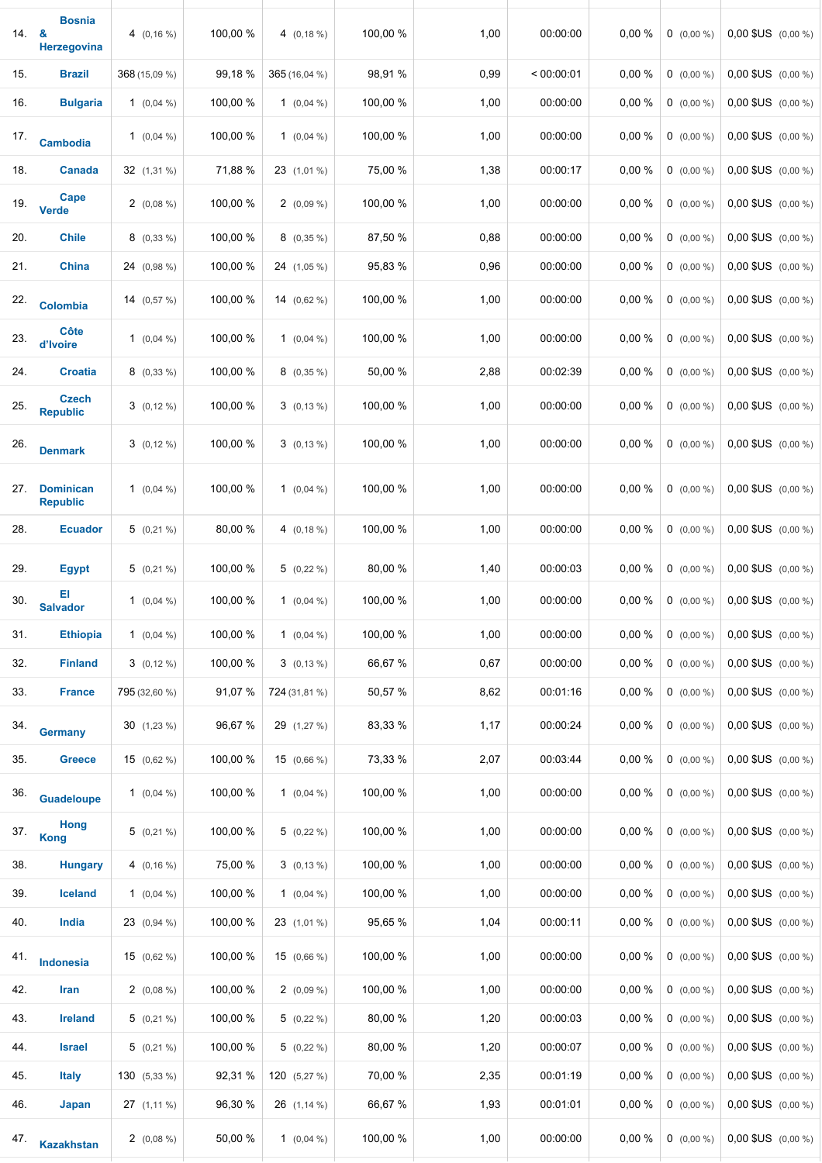| 14. | <b>Bosnia</b><br>&<br>Herzegovina   | 4 $(0, 16\%)$    | 100,00 % | 4 $(0, 18\%)$    | 100,00 % | 1,00 | 00:00:00   | 0,00 % | $0$ (0,00 %)   | 0,00 \$US (0,00 %)      |
|-----|-------------------------------------|------------------|----------|------------------|----------|------|------------|--------|----------------|-------------------------|
| 15. | <b>Brazil</b>                       | 368 (15,09 %)    | 99,18 %  | 365 (16,04 %)    | 98,91 %  | 0,99 | < 00:00:01 | 0,00 % | $0$ (0,00 %)   | 0,00 \$US (0,00 %)      |
| 16. | <b>Bulgaria</b>                     | 1 $(0,04\%)$     | 100,00 % | 1 $(0,04\%)$     | 100,00 % | 1,00 | 00:00:00   | 0,00 % | $0$ (0,00 %)   | 0,00 \$US (0,00 %)      |
| 17. | <b>Cambodia</b>                     | 1 $(0,04\%)$     | 100,00 % | 1 $(0,04\%)$     | 100,00 % | 1,00 | 00:00:00   | 0,00 % | $0$ (0,00 %)   | $0,00$ \$US $(0,00\% )$ |
| 18. | <b>Canada</b>                       | 32 (1,31 %)      | 71,88 %  | 23 (1,01 %)      | 75,00 %  | 1,38 | 00:00:17   | 0,00 % | $0$ (0,00 %)   | $0.00$ \$US $(0.00\% )$ |
| 19. | Cape<br><b>Verde</b>                | $2(0,08\%)$      | 100,00 % | $2(0,09\%)$      | 100,00 % | 1,00 | 00:00:00   | 0,00 % | $0$ (0,00 %)   | $0.00$ \$US $(0.00\% )$ |
| 20. | <b>Chile</b>                        | $8(0,33\%)$      | 100,00 % | $8(0,35\%)$      | 87,50 %  | 0,88 | 00:00:00   | 0,00 % | $0$ (0,00 %)   | $0,00$ \$US $(0,00\%)$  |
| 21. | <b>China</b>                        | 24 (0,98 %)      | 100,00 % | 24 (1,05 %)      | 95,83 %  | 0,96 | 00:00:00   | 0,00 % | $0$ $(0,00\%)$ | $0,00$ \$US $(0,00\% )$ |
| 22. | <b>Colombia</b>                     | 14 $(0.57\%)$    | 100,00 % | 14 $(0,62\%)$    | 100,00 % | 1,00 | 00:00:00   | 0,00 % | $0$ (0,00 %)   | 0,00 \$US (0,00 %)      |
| 23. | <b>Côte</b><br>d'Ivoire             | 1 $(0,04\%)$     | 100,00 % | 1 $(0,04\%)$     | 100,00 % | 1,00 | 00:00:00   | 0,00 % | $0$ (0,00 %)   | 0,00 \$US (0,00 %)      |
| 24. | <b>Croatia</b>                      | $8(0,33\%)$      | 100,00 % | $8(0,35\%)$      | 50,00 %  | 2,88 | 00:02:39   | 0,00 % | $0$ (0,00 %)   | 0,00 \$US (0,00 %)      |
| 25. | <b>Czech</b><br><b>Republic</b>     | $3(0,12\%)$      | 100,00 % | $3(0, 13\%)$     | 100,00 % | 1,00 | 00:00:00   | 0,00 % | $0$ (0,00 %)   | 0,00 \$US (0,00 %)      |
| 26. | <b>Denmark</b>                      | $3(0,12\%)$      | 100,00 % | $3(0,13\%)$      | 100,00 % | 1,00 | 00:00:00   | 0,00 % | $0$ (0,00 %)   | 0,00 \$US (0,00 %)      |
| 27. | <b>Dominican</b><br><b>Republic</b> | 1 $(0,04\%)$     | 100,00 % | 1 $(0,04\%)$     | 100,00 % | 1,00 | 00:00:00   | 0,00 % | $0$ (0,00 %)   | 0,00 \$US (0,00 %)      |
| 28. | <b>Ecuador</b>                      | $5(0,21\%)$      | 80,00 %  | 4 $(0, 18\%)$    | 100,00 % | 1,00 | 00:00:00   | 0,00 % | $0$ (0,00 %)   | 0,00 \$US (0,00 %)      |
| 29. | <b>Egypt</b>                        | $5(0,21\%)$      | 100,00 % | $5(0,22\%)$      | 80,00 %  | 1,40 | 00:00:03   | 0,00 % | $0$ (0,00 %)   | $0,00$ \$US $(0,00\% )$ |
| 30. | EI<br><b>Salvador</b>               | 1 $(0,04\%)$     | 100,00 % | 1 $(0,04\%)$     | 100,00 % | 1,00 | 00:00:00   | 0,00 % | $0$ (0,00 %)   | $0,00$ \$US $(0,00\% )$ |
| 31. | <b>Ethiopia</b>                     | 1 $(0.04\%)$     | 100,00 % | 1 $(0,04\%)$     | 100,00 % | 1,00 | 00:00:00   | 0,00 % | $0$ (0,00 %)   | 0,00 \$US (0,00 %)      |
| 32. | <b>Finland</b>                      | $3(0,12\%)$      | 100,00 % | $3(0, 13\%)$     | 66,67%   | 0,67 | 00:00:00   | 0,00%  | $0$ (0,00 %)   | $0,00$ \$US $(0,00\%)$  |
| 33. | <b>France</b>                       | 795 (32,60 %)    | 91,07 %  | 724 (31,81 %)    | 50,57 %  | 8,62 | 00:01:16   | 0,00 % | $0$ (0,00 %)   | $0,00$ \$US $(0,00\%)$  |
| 34. | <b>Germany</b>                      | $30(1,23\%)$     | 96,67 %  | 29 (1,27 %)      | 83,33 %  | 1,17 | 00:00:24   | 0,00%  | $0$ (0,00 %)   | $0,00$ \$US $(0,00\% )$ |
| 35. | <b>Greece</b>                       | $15(0,62\%)$     | 100,00 % | $15(0,66\%)$     | 73,33 %  | 2,07 | 00:03:44   | 0,00%  | $0$ (0,00 %)   | $0,00$ \$US $(0,00\%)$  |
| 36. | <b>Guadeloupe</b>                   | 1 $(0.04\%)$     | 100,00 % | 1 $(0,04\%)$     | 100,00 % | 1,00 | 00:00:00   | 0,00%  | $0$ (0,00 %)   | $0,00$ \$US $(0,00\%)$  |
| 37. | <b>Hong</b><br><b>Kong</b>          | $5(0,21\%)$      | 100,00 % | $5(0,22\%)$      | 100,00 % | 1,00 | 00:00:00   | 0,00%  | $0$ (0,00 %)   | $0,00$ \$US $(0,00\% )$ |
| 38. | <b>Hungary</b>                      | 4 $(0, 16\%)$    | 75,00 %  | $3(0, 13\%)$     | 100,00 % | 1,00 | 00:00:00   | 0,00%  | $0$ (0,00 %)   | $0,00$ \$US $(0,00\% )$ |
| 39. | <b>Iceland</b>                      | 1 $(0.04\%)$     | 100,00 % | 1 $(0,04\%)$     | 100,00 % | 1,00 | 00:00:00   | 0,00%  | $0$ (0,00 %)   | $0,00$ \$US $(0,00\%)$  |
| 40. | India                               | $23(0,94\%)$     | 100,00 % | $23(1,01\%)$     | 95,65 %  | 1,04 | 00:00:11   | 0,00 % | $0$ (0,00 %)   | $0,00$ \$US $(0,00\% )$ |
| 41. | Indonesia                           | $15$ $(0,62\%)$  | 100,00 % | $15(0,66\%)$     | 100,00 % | 1,00 | 00:00:00   | 0,00%  | $0$ (0,00 %)   | $0,00$ \$US $(0,00\% )$ |
| 42. | Iran                                | $2(0,08\%)$      | 100,00 % | $2(0,09\%)$      | 100,00 % | 1,00 | 00:00:00   | 0,00%  | $0$ (0,00 %)   | $0,00$ \$US $(0,00\% )$ |
| 43. | <b>Ireland</b>                      | $5(0,21\%)$      | 100,00 % | $5(0,22\%)$      | 80,00 %  | 1,20 | 00:00:03   | 0,00%  | $0$ (0,00 %)   | $0,00$ \$US $(0,00\%)$  |
| 44. | <b>Israel</b>                       | $5(0,21\%)$      | 100,00 % | $5(0,22\%)$      | 80,00 %  | 1,20 | 00:00:07   | 0,00%  | $0$ (0,00 %)   | $0,00$ \$US $(0,00\% )$ |
| 45. | <b>Italy</b>                        | 130 (5,33 %)     | 92,31 %  | 120 $(5,27\%)$   | 70,00 %  | 2,35 | 00:01:19   | 0,00%  | $0$ (0,00 %)   | $0,00$ \$US $(0,00\%)$  |
| 46. | Japan                               | $27$ $(1, 11\%)$ | 96,30 %  | $26$ $(1, 14\%)$ | 66,67 %  | 1,93 | 00:01:01   | 0,00%  | $0$ (0,00 %)   | $0,00$ \$US $(0,00\% )$ |
| 47. | <b>Kazakhstan</b>                   | $2(0,08\%)$      | 50,00 %  | 1 $(0,04\%)$     | 100,00 % | 1,00 | 00:00:00   | 0.00%  | $0$ (0,00 %)   | $0,00$ \$US $(0,00\%)$  |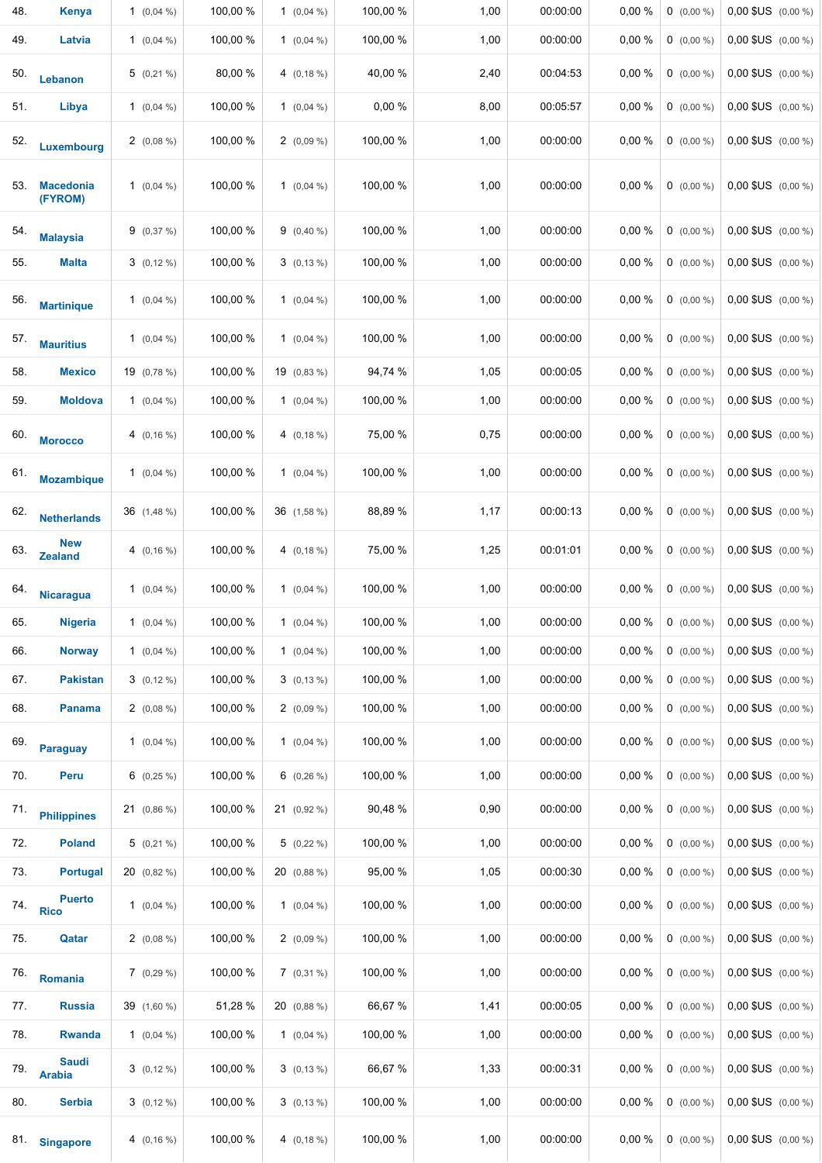| 48. | <b>Kenya</b>                  | 1 $(0.04\%)$  | 100,00 % | 1 $(0,04\%)$  | 100,00 % | 1,00 | 00:00:00 | 0,00 % | $0$ (0,00 %) | 0,00 \$US (0,00 %)      |
|-----|-------------------------------|---------------|----------|---------------|----------|------|----------|--------|--------------|-------------------------|
| 49. | Latvia                        | 1 $(0,04\%)$  | 100,00 % | 1 $(0,04\%)$  | 100,00 % | 1,00 | 00:00:00 | 0,00 % | $0$ (0,00 %) | $0,00$ \$US $(0,00\%)$  |
| 50. | Lebanon                       | $5(0,21\%)$   | 80,00 %  | 4 $(0, 18\%)$ | 40,00 %  | 2,40 | 00:04:53 | 0,00%  | $0$ (0,00 %) | $0,00$ \$US $(0,00\% )$ |
| 51. | Libya                         | 1 $(0,04\%)$  | 100,00 % | 1 $(0,04\%)$  | 0,00 %   | 8,00 | 00:05:57 | 0,00 % | $0$ (0,00 %) | $0,00$ \$US $(0,00\%)$  |
| 52. | Luxembourg                    | $2(0,08\%)$   | 100,00 % | $2(0,09\%)$   | 100,00 % | 1,00 | 00:00:00 | 0,00 % | $0$ (0,00 %) | $0,00$ \$US $(0,00\%)$  |
| 53. | <b>Macedonia</b><br>(FYROM)   | 1 $(0.04\%)$  | 100,00 % | 1 $(0,04\%)$  | 100,00 % | 1,00 | 00:00:00 | 0,00 % | $0$ (0,00 %) | $0,00$ \$US $(0,00\% )$ |
| 54. | <b>Malaysia</b>               | 9(0,37%)      | 100,00 % | 9 $(0,40\%)$  | 100,00 % | 1,00 | 00:00:00 | 0,00 % | $0$ (0,00 %) | $0,00$ \$US $(0,00\%)$  |
| 55. | <b>Malta</b>                  | $3(0,12\%)$   | 100,00 % | $3(0,13\%)$   | 100,00 % | 1,00 | 00:00:00 | 0,00 % | $0$ (0,00 %) | $0,00$ \$US $(0,00\%)$  |
| 56. | <b>Martinique</b>             | 1 $(0,04\%)$  | 100,00 % | 1 $(0,04\%)$  | 100,00 % | 1,00 | 00:00:00 | 0,00 % | $0$ (0,00 %) | $0,00$ \$US $(0,00\%)$  |
| 57. | <b>Mauritius</b>              | 1 $(0,04\%)$  | 100,00 % | 1 $(0,04\%)$  | 100,00 % | 1,00 | 00:00:00 | 0,00 % | $0$ (0,00 %) | $0,00$ \$US $(0,00\%)$  |
| 58. | <b>Mexico</b>                 | 19 (0,78 %)   | 100,00 % | $19(0,83\%)$  | 94,74 %  | 1,05 | 00:00:05 | 0,00 % | $0$ (0,00 %) | 0,00 \$US (0,00 %)      |
| 59. | <b>Moldova</b>                | 1 $(0.04\%)$  | 100,00 % | 1 $(0,04\%)$  | 100,00 % | 1,00 | 00:00:00 | 0,00 % | $0$ (0,00 %) | $0,00$ \$US $(0,00\% )$ |
| 60. | <b>Morocco</b>                | 4 $(0, 16\%)$ | 100,00 % | 4 $(0, 18\%)$ | 75,00 %  | 0,75 | 00:00:00 | 0,00 % | $0$ (0,00 %) | $0,00$ \$US $(0,00\%)$  |
| 61. | <b>Mozambique</b>             | 1 $(0,04\%)$  | 100,00 % | 1 $(0,04\%)$  | 100,00 % | 1,00 | 00:00:00 | 0,00 % | $0$ (0,00 %) | $0,00$ \$US $(0,00\%)$  |
| 62. | <b>Netherlands</b>            | 36 (1,48 %)   | 100,00 % | 36 (1,58 %)   | 88,89%   | 1,17 | 00:00:13 | 0,00 % | $0$ (0,00 %) | $0,00$ \$US $(0,00\% )$ |
| 63. | <b>New</b><br><b>Zealand</b>  | 4 $(0, 16\%)$ | 100,00 % | 4 $(0, 18\%)$ | 75,00 %  | 1,25 | 00:01:01 | 0,00 % | $0$ (0,00 %) | $0,00$ \$US $(0,00\%)$  |
| 64. | <b>Nicaragua</b>              | 1 $(0.04\%)$  | 100,00 % | 1 $(0,04\%)$  | 100,00 % | 1,00 | 00:00:00 | 0,00 % | $0$ (0,00 %) | $0,00$ \$US $(0,00\%)$  |
| 65. | <b>Nigeria</b>                | 1 $(0.04\%)$  | 100,00 % | 1 $(0,04\%)$  | 100,00 % | 1,00 | 00:00:00 | 0,00 % | $0$ (0,00 %) | $0,00$ \$US $(0,00\%)$  |
| 66. | <b>Norway</b>                 | 1 $(0.04\%)$  | 100,00 % | 1 $(0.04\% )$ | 100,00 % | 1,00 | 00:00:00 | 0,00 % | $0$ (0,00 %) | $0,00$ \$US $(0,00\% )$ |
| 67. | <b>Pakistan</b>               | $3(0,12\%)$   | 100,00 % | $3(0, 13\%)$  | 100,00 % | 1,00 | 00:00:00 | 0,00 % | $0$ (0,00 %) | $0,00$ \$US $(0,00\%)$  |
| 68. | <b>Panama</b>                 | 2 $(0.08\%)$  | 100,00 % | $2(0,09\%)$   | 100,00 % | 1,00 | 00:00:00 | 0,00 % | $0$ (0,00 %) | $0,00$ \$US $(0,00\% )$ |
| 69. | <b>Paraguay</b>               | 1 $(0.04\%)$  | 100,00 % | 1 $(0,04\%)$  | 100,00 % | 1,00 | 00:00:00 | 0,00 % | $0$ (0,00 %) | $0,00$ \$US $(0,00\%)$  |
| 70. | Peru                          | $6$ (0,25 %)  | 100,00 % | $6$ (0,26 %)  | 100,00 % | 1,00 | 00:00:00 | 0,00 % | $0$ (0,00 %) | $0,00$ \$US $(0,00\% )$ |
| 71. | <b>Philippines</b>            | 21 (0,86 %)   | 100,00 % | $21$ (0,92 %) | 90,48%   | 0,90 | 00:00:00 | 0,00%  | $0$ (0,00 %) | $0,00$ \$US $(0,00\% )$ |
| 72. | <b>Poland</b>                 | $5(0,21\%)$   | 100,00 % | $5(0,22\%)$   | 100,00 % | 1,00 | 00:00:00 | 0,00 % | $0$ (0,00 %) | $0,00$ \$US $(0,00\% )$ |
| 73. | <b>Portugal</b>               | 20 (0,82 %)   | 100,00 % | 20 (0,88 %)   | 95,00 %  | 1,05 | 00:00:30 | 0,00 % | $0$ (0,00 %) | $0,00$ \$US $(0,00\% )$ |
| 74. | <b>Puerto</b><br><b>Rico</b>  | 1 $(0.04\%)$  | 100,00 % | 1 $(0,04\%)$  | 100,00 % | 1,00 | 00:00:00 | 0,00 % | $0$ (0,00 %) | $0,00$ \$US $(0,00\% )$ |
| 75. | Qatar                         | $2(0,08\%)$   | 100,00 % | $2(0,09\%)$   | 100,00 % | 1,00 | 00:00:00 | 0,00%  | $0$ (0,00 %) | $0,00$ \$US $(0,00\% )$ |
| 76. | Romania                       | $7(0,29\%)$   | 100,00 % | $7(0,31\%)$   | 100,00 % | 1,00 | 00:00:00 | 0,00%  | $0$ (0,00 %) | $0,00$ \$US $(0,00\% )$ |
| 77. | <b>Russia</b>                 | 39 (1,60 %)   | 51,28 %  | 20 (0,88 %)   | 66,67%   | 1,41 | 00:00:05 | 0,00 % | $0$ (0,00 %) | $0,00$ \$US $(0,00\% )$ |
| 78. | <b>Rwanda</b>                 | 1 $(0.04\%)$  | 100,00 % | 1 $(0,04\%)$  | 100,00 % | 1,00 | 00:00:00 | 0,00 % | $0$ (0,00 %) | $0,00$ \$US $(0,00\%)$  |
| 79. | <b>Saudi</b><br><b>Arabia</b> | $3(0,12\%)$   | 100,00 % | $3(0,13\%)$   | 66,67 %  | 1,33 | 00:00:31 | 0,00%  | $0$ (0,00 %) | $0,00$ \$US $(0,00\% )$ |
| 80. | <b>Serbia</b>                 | $3(0,12\%)$   | 100,00 % | $3(0,13\%)$   | 100,00 % | 1,00 | 00:00:00 | 0,00 % | $0$ (0,00 %) | 0,00 \$US (0,00 %)      |
| 81. | <b>Singapore</b>              | 4 $(0, 16\%)$ | 100,00 % | 4 $(0, 18\%)$ | 100,00 % | 1,00 | 00:00:00 | 0,00 % | $0$ (0,00 %) | $0,00$ \$US $(0,00\%)$  |